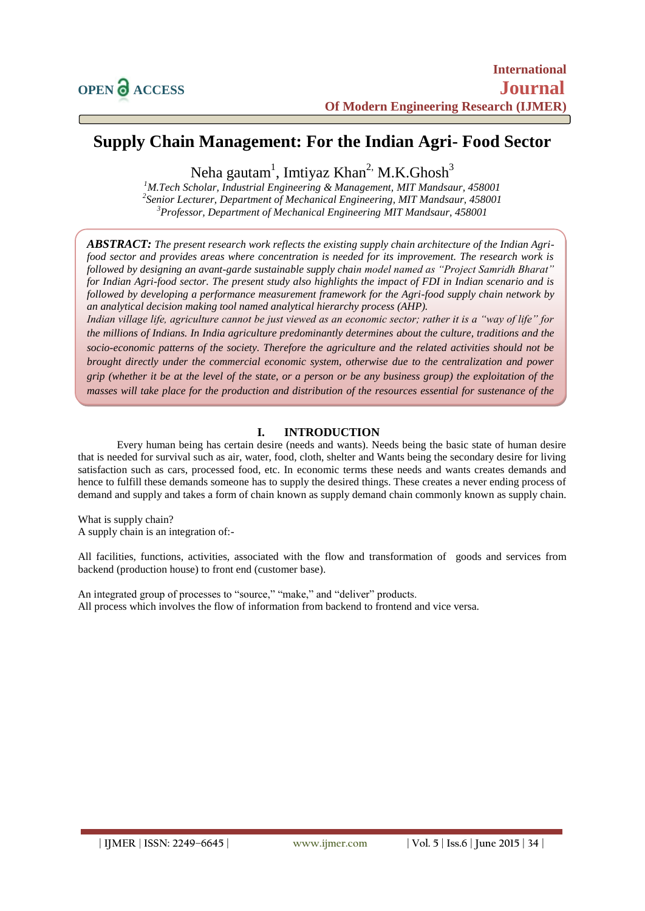# **Supply Chain Management: For the Indian Agri- Food Sector**

Neha gautam<sup>1</sup>, Imtiyaz Khan<sup>2,</sup> M.K.Ghosh<sup>3</sup>

*<sup>1</sup>M.Tech Scholar, Industrial Engineering & Management, MIT Mandsaur, 458001 2 Senior Lecturer, Department of Mechanical Engineering, MIT Mandsaur, 458001 <sup>3</sup>Professor, Department of Mechanical Engineering MIT Mandsaur, 458001*

*ABSTRACT: The present research work reflects the existing supply chain architecture of the Indian Agrifood sector and provides areas where concentration is needed for its improvement. The research work is followed by designing an avant-garde sustainable supply chain model named as "Project Samridh Bharat" for Indian Agri-food sector. The present study also highlights the impact of FDI in Indian scenario and is followed by developing a performance measurement framework for the Agri-food supply chain network by an analytical decision making tool named analytical hierarchy process (AHP).*

*Indian village life, agriculture cannot be just viewed as an economic sector; rather it is a "way of life" for the millions of Indians. In India agriculture predominantly determines about the culture, traditions and the socio-economic patterns of the society. Therefore the agriculture and the related activities should not be brought directly under the commercial economic system, otherwise due to the centralization and power grip (whether it be at the level of the state, or a person or be any business group) the exploitation of the masses will take place for the production and distribution of the resources essential for sustenance of the* 

# **I. INTRODUCTION**

Every human being has certain desire (needs and wants). Needs being the basic state of human desire that is needed for survival such as air, water, food, cloth, shelter and Wants being the secondary desire for living satisfaction such as cars, processed food, etc. In economic terms these needs and wants creates demands and hence to fulfill these demands someone has to supply the desired things. These creates a never ending process of demand and supply and takes a form of chain known as supply demand chain commonly known as supply chain.

What is supply chain? A supply chain is an integration of:-

*life.*

All facilities, functions, activities, associated with the flow and transformation of goods and services from backend (production house) to front end (customer base).

An integrated group of processes to "source," "make," and "deliver" products. All process which involves the flow of information from backend to frontend and vice versa.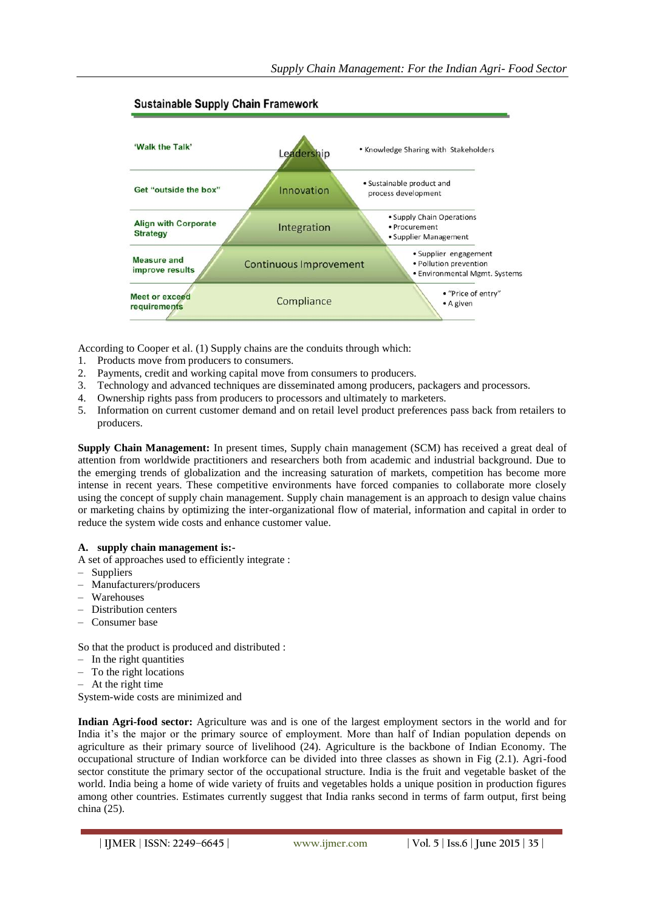

# **Sustainable Supply Chain Framework**

According to Cooper et al. (1) Supply chains are the conduits through which:

- 1. Products move from producers to consumers.
- 2. Payments, credit and working capital move from consumers to producers.
- 3. Technology and advanced techniques are disseminated among producers, packagers and processors.
- 4. Ownership rights pass from producers to processors and ultimately to marketers.
- 5. Information on current customer demand and on retail level product preferences pass back from retailers to producers.

**Supply Chain Management:** In present times, Supply chain management (SCM) has received a great deal of attention from worldwide practitioners and researchers both from academic and industrial background. Due to the emerging trends of globalization and the increasing saturation of markets, competition has become more intense in recent years. These competitive environments have forced companies to collaborate more closely using the concept of supply chain management. Supply chain management is an approach to design value chains or marketing chains by optimizing the inter-organizational flow of material, information and capital in order to reduce the system wide costs and enhance customer value.

### **A. supply chain management is:-**

A set of approaches used to efficiently integrate :

- Suppliers
- Manufacturers/producers
- Warehouses
- Distribution centers
- Consumer base

So that the product is produced and distributed :

- In the right quantities
- To the right locations
- At the right time
- System-wide costs are minimized and

**Indian Agri-food sector:** Agriculture was and is one of the largest employment sectors in the world and for India it's the major or the primary source of employment. More than half of Indian population depends on agriculture as their primary source of livelihood (24). Agriculture is the backbone of Indian Economy. The occupational structure of Indian workforce can be divided into three classes as shown in Fig (2.1). Agri-food sector constitute the primary sector of the occupational structure. India is the fruit and vegetable basket of the world. India being a home of wide variety of fruits and vegetables holds a unique position in production figures among other countries. Estimates currently suggest that India ranks second in terms of farm output, first being china (25).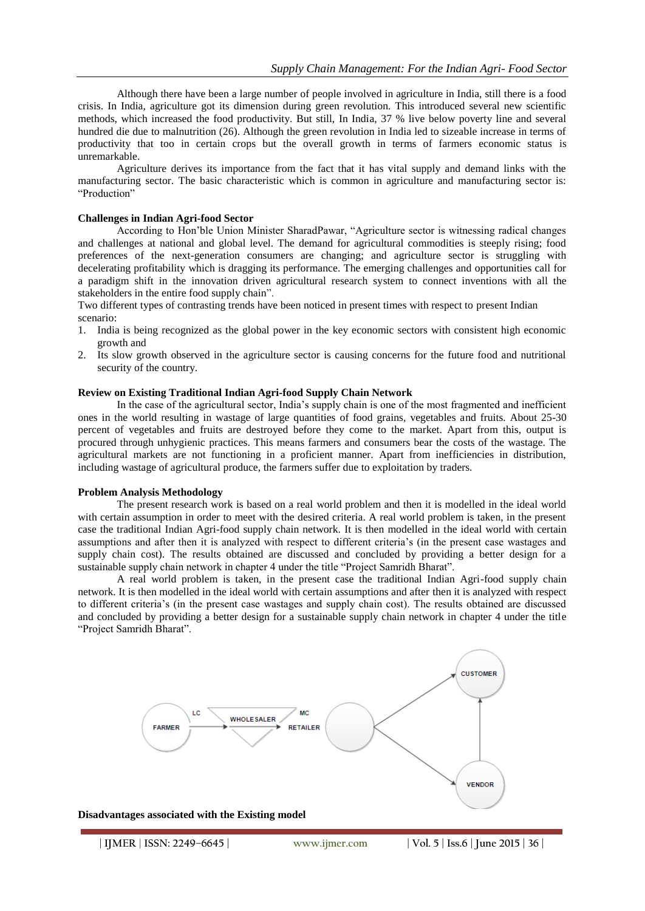Although there have been a large number of people involved in agriculture in India, still there is a food crisis. In India, agriculture got its dimension during green revolution. This introduced several new scientific methods, which increased the food productivity. But still, In India, 37 % live below poverty line and several hundred die due to malnutrition (26). Although the green revolution in India led to sizeable increase in terms of productivity that too in certain crops but the overall growth in terms of farmers economic status is unremarkable.

Agriculture derives its importance from the fact that it has vital supply and demand links with the manufacturing sector. The basic characteristic which is common in agriculture and manufacturing sector is: "Production"

#### **Challenges in Indian Agri-food Sector**

According to Hon'ble Union Minister SharadPawar, "Agriculture sector is witnessing radical changes and challenges at national and global level. The demand for agricultural commodities is steeply rising; food preferences of the next-generation consumers are changing; and agriculture sector is struggling with decelerating profitability which is dragging its performance. The emerging challenges and opportunities call for a paradigm shift in the innovation driven agricultural research system to connect inventions with all the stakeholders in the entire food supply chain".

Two different types of contrasting trends have been noticed in present times with respect to present Indian scenario:

- 1. India is being recognized as the global power in the key economic sectors with consistent high economic growth and
- 2. Its slow growth observed in the agriculture sector is causing concerns for the future food and nutritional security of the country.

#### **Review on Existing Traditional Indian Agri-food Supply Chain Network**

In the case of the agricultural sector, India's supply chain is one of the most fragmented and inefficient ones in the world resulting in wastage of large quantities of food grains, vegetables and fruits. About 25-30 percent of vegetables and fruits are destroyed before they come to the market. Apart from this, output is procured through unhygienic practices. This means farmers and consumers bear the costs of the wastage. The agricultural markets are not functioning in a proficient manner. Apart from inefficiencies in distribution, including wastage of agricultural produce, the farmers suffer due to exploitation by traders.

### **Problem Analysis Methodology**

The present research work is based on a real world problem and then it is modelled in the ideal world with certain assumption in order to meet with the desired criteria. A real world problem is taken, in the present case the traditional Indian Agri-food supply chain network. It is then modelled in the ideal world with certain assumptions and after then it is analyzed with respect to different criteria's (in the present case wastages and supply chain cost). The results obtained are discussed and concluded by providing a better design for a sustainable supply chain network in chapter 4 under the title "Project Samridh Bharat".

A real world problem is taken, in the present case the traditional Indian Agri-food supply chain network. It is then modelled in the ideal world with certain assumptions and after then it is analyzed with respect to different criteria's (in the present case wastages and supply chain cost). The results obtained are discussed and concluded by providing a better design for a sustainable supply chain network in chapter 4 under the title "Project Samridh Bharat".

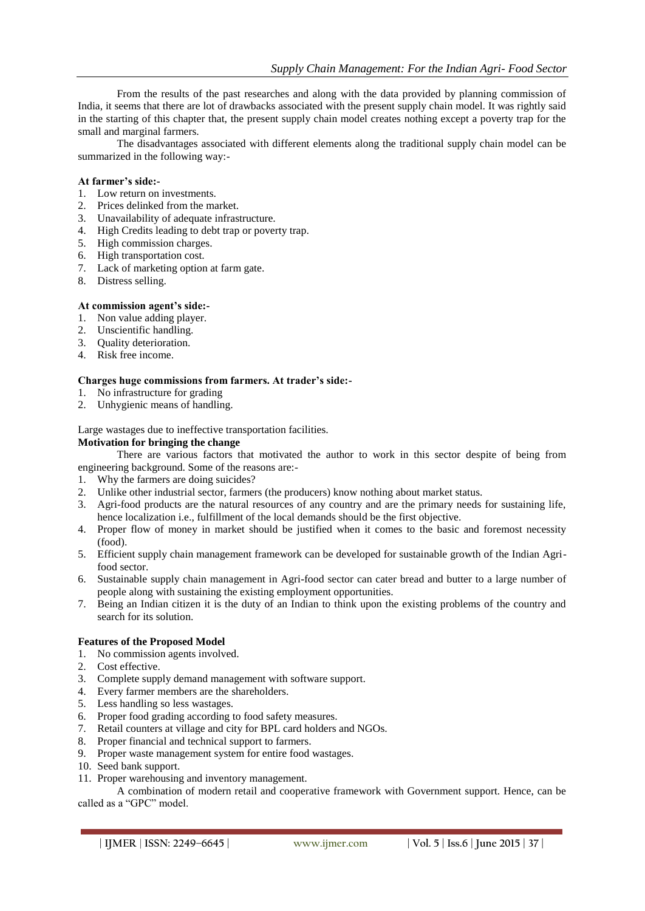From the results of the past researches and along with the data provided by planning commission of India, it seems that there are lot of drawbacks associated with the present supply chain model. It was rightly said in the starting of this chapter that, the present supply chain model creates nothing except a poverty trap for the small and marginal farmers.

The disadvantages associated with different elements along the traditional supply chain model can be summarized in the following way:-

#### **At farmer's side:-**

- 1. Low return on investments.
- 2. Prices delinked from the market.
- 3. Unavailability of adequate infrastructure.
- 4. High Credits leading to debt trap or poverty trap.
- 5. High commission charges.
- 6. High transportation cost.
- 7. Lack of marketing option at farm gate.
- 8. Distress selling.

## **At commission agent's side:-**

- 1. Non value adding player.
- 2. Unscientific handling.
- 3. Quality deterioration.
- 4. Risk free income.

#### **Charges huge commissions from farmers. At trader's side:-**

- 1. No infrastructure for grading
- 2. Unhygienic means of handling.

Large wastages due to ineffective transportation facilities.

## **Motivation for bringing the change**

There are various factors that motivated the author to work in this sector despite of being from engineering background. Some of the reasons are:-

- 1. Why the farmers are doing suicides?
- 2. Unlike other industrial sector, farmers (the producers) know nothing about market status.
- 3. Agri-food products are the natural resources of any country and are the primary needs for sustaining life, hence localization i.e., fulfillment of the local demands should be the first objective.
- 4. Proper flow of money in market should be justified when it comes to the basic and foremost necessity (food).
- 5. Efficient supply chain management framework can be developed for sustainable growth of the Indian Agrifood sector.
- 6. Sustainable supply chain management in Agri-food sector can cater bread and butter to a large number of people along with sustaining the existing employment opportunities.
- 7. Being an Indian citizen it is the duty of an Indian to think upon the existing problems of the country and search for its solution.

#### **Features of the Proposed Model**

- 1. No commission agents involved.
- 2. Cost effective.
- 3. Complete supply demand management with software support.
- 4. Every farmer members are the shareholders.
- 5. Less handling so less wastages.
- 6. Proper food grading according to food safety measures.
- 7. Retail counters at village and city for BPL card holders and NGOs.
- 8. Proper financial and technical support to farmers.
- 9. Proper waste management system for entire food wastages.
- 10. Seed bank support.
- 11. Proper warehousing and inventory management.

A combination of modern retail and cooperative framework with Government support. Hence, can be called as a "GPC" model.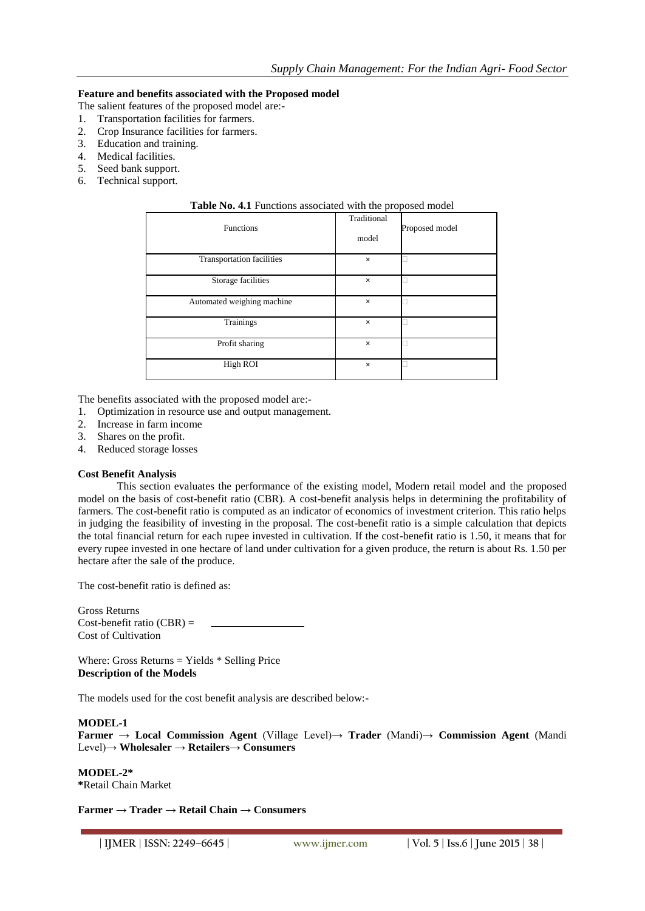### **Feature and benefits associated with the Proposed model**

- The salient features of the proposed model are:-
- 1. Transportation facilities for farmers.
- 2. Crop Insurance facilities for farmers.
- 3. Education and training.
- 4. Medical facilities.
- 5. Seed bank support.
- 6. Technical support.

| <b>Table ING. 4.1</b> Functions associated with the proposed model |                      |                |
|--------------------------------------------------------------------|----------------------|----------------|
| <b>Functions</b>                                                   | Traditional<br>model | Proposed model |
| Transportation facilities                                          | $\times$             |                |
| Storage facilities                                                 | $\times$             |                |
| Automated weighing machine                                         | $\times$             |                |
| Trainings                                                          | $\times$             |                |
| Profit sharing                                                     | $\times$             |                |
| High ROI                                                           | $\times$             |                |

# **Table No. 4.1** Functions associated with the proposed model

The benefits associated with the proposed model are:-

- 1. Optimization in resource use and output management.
- 2. Increase in farm income
- 3. Shares on the profit.
- 4. Reduced storage losses

#### **Cost Benefit Analysis**

This section evaluates the performance of the existing model, Modern retail model and the proposed model on the basis of cost-benefit ratio (CBR). A cost-benefit analysis helps in determining the profitability of farmers. The cost-benefit ratio is computed as an indicator of economics of investment criterion. This ratio helps in judging the feasibility of investing in the proposal. The cost-benefit ratio is a simple calculation that depicts the total financial return for each rupee invested in cultivation. If the cost-benefit ratio is 1.50, it means that for every rupee invested in one hectare of land under cultivation for a given produce, the return is about Rs. 1.50 per hectare after the sale of the produce.

The cost-benefit ratio is defined as:

Gross Returns Cost-benefit ratio  $(CBR)$  = Cost of Cultivation

Where: Gross Returns = Yields \* Selling Price **Description of the Models**

The models used for the cost benefit analysis are described below:-

### **MODEL-1**

**Farmer** → **Local Commission Agent** (Village Level)→ **Trader** (Mandi)→ **Commission Agent** (Mandi Level)→ **Wholesaler** → **Retailers**→ **Consumers**

**MODEL-2\* \***Retail Chain Market

**Farmer** → **Trader** → **Retail Chain** → **Consumers**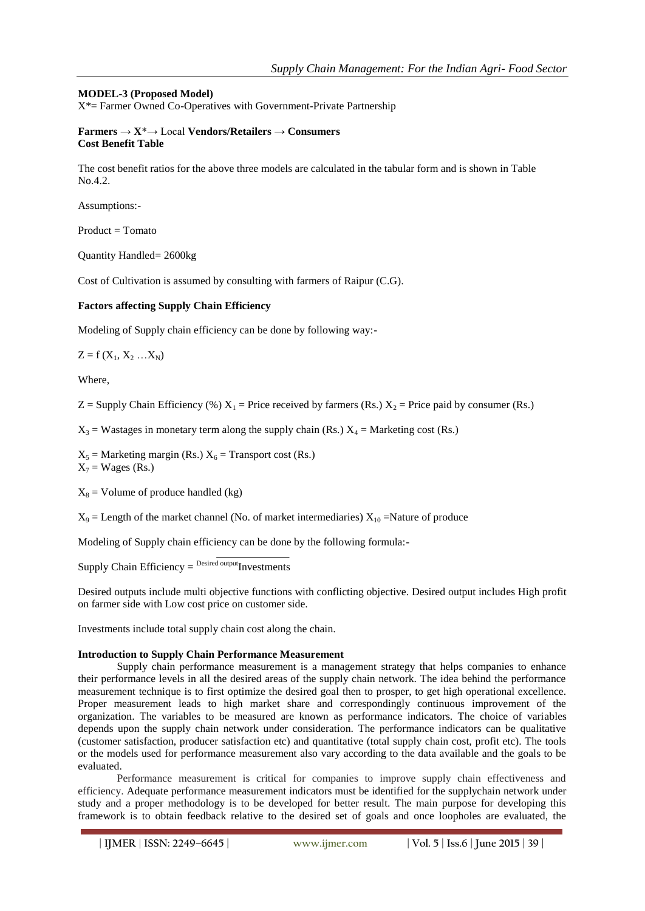# **MODEL-3 (Proposed Model)**

X\*= Farmer Owned Co-Operatives with Government-Private Partnership

### **Farmers** → **X**\*→ Local **Vendors/Retailers** → **Consumers Cost Benefit Table**

The cost benefit ratios for the above three models are calculated in the tabular form and is shown in Table No.4.2.

Assumptions:-

Product = Tomato

Quantity Handled= 2600kg

Cost of Cultivation is assumed by consulting with farmers of Raipur (C.G).

# **Factors affecting Supply Chain Efficiency**

Modeling of Supply chain efficiency can be done by following way:-

 $Z = f(X_1, X_2, ... X_N)$ 

Where,

 $Z =$  Supply Chain Efficiency (%)  $X_1 =$  Price received by farmers (Rs.)  $X_2 =$  Price paid by consumer (Rs.)

 $X_3$  = Wastages in monetary term along the supply chain (Rs.)  $X_4$  = Marketing cost (Rs.)

 $X_5$  = Marketing margin (Rs.)  $X_6$  = Transport cost (Rs.)  $X_7$  = Wages (Rs.)

 $X_8$  = Volume of produce handled (kg)

 $X_9$  = Length of the market channel (No. of market intermediaries)  $X_{10}$  =Nature of produce

Modeling of Supply chain efficiency can be done by the following formula:-

Supply Chain Efficiency  $=$  <sup>Desired output</sup>Investments

Desired outputs include multi objective functions with conflicting objective. Desired output includes High profit on farmer side with Low cost price on customer side.

Investments include total supply chain cost along the chain.

### **Introduction to Supply Chain Performance Measurement**

Supply chain performance measurement is a management strategy that helps companies to enhance their performance levels in all the desired areas of the supply chain network. The idea behind the performance measurement technique is to first optimize the desired goal then to prosper, to get high operational excellence. Proper measurement leads to high market share and correspondingly continuous improvement of the organization. The variables to be measured are known as performance indicators. The choice of variables depends upon the supply chain network under consideration. The performance indicators can be qualitative (customer satisfaction, producer satisfaction etc) and quantitative (total supply chain cost, profit etc). The tools or the models used for performance measurement also vary according to the data available and the goals to be evaluated.

Performance measurement is critical for companies to improve supply chain effectiveness and efficiency. Adequate performance measurement indicators must be identified for the supplychain network under study and a proper methodology is to be developed for better result. The main purpose for developing this framework is to obtain feedback relative to the desired set of goals and once loopholes are evaluated, the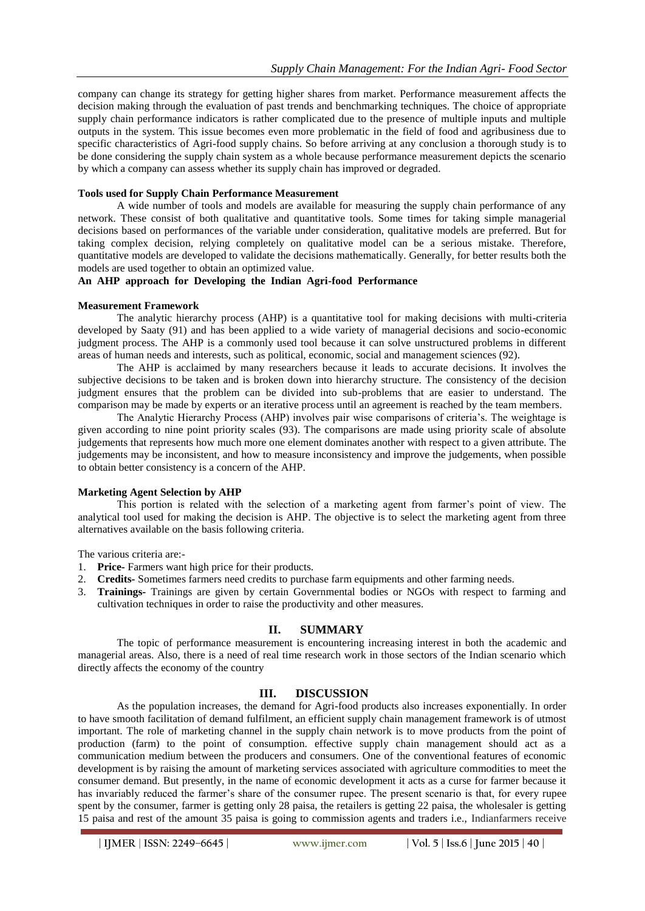company can change its strategy for getting higher shares from market. Performance measurement affects the decision making through the evaluation of past trends and benchmarking techniques. The choice of appropriate supply chain performance indicators is rather complicated due to the presence of multiple inputs and multiple outputs in the system. This issue becomes even more problematic in the field of food and agribusiness due to specific characteristics of Agri-food supply chains. So before arriving at any conclusion a thorough study is to be done considering the supply chain system as a whole because performance measurement depicts the scenario by which a company can assess whether its supply chain has improved or degraded.

#### **Tools used for Supply Chain Performance Measurement**

A wide number of tools and models are available for measuring the supply chain performance of any network. These consist of both qualitative and quantitative tools. Some times for taking simple managerial decisions based on performances of the variable under consideration, qualitative models are preferred. But for taking complex decision, relying completely on qualitative model can be a serious mistake. Therefore, quantitative models are developed to validate the decisions mathematically. Generally, for better results both the models are used together to obtain an optimized value.

## **An AHP approach for Developing the Indian Agri-food Performance**

#### **Measurement Framework**

The analytic hierarchy process (AHP) is a quantitative tool for making decisions with multi-criteria developed by Saaty (91) and has been applied to a wide variety of managerial decisions and socio-economic judgment process. The AHP is a commonly used tool because it can solve unstructured problems in different areas of human needs and interests, such as political, economic, social and management sciences (92).

The AHP is acclaimed by many researchers because it leads to accurate decisions. It involves the subjective decisions to be taken and is broken down into hierarchy structure. The consistency of the decision judgment ensures that the problem can be divided into sub-problems that are easier to understand. The comparison may be made by experts or an iterative process until an agreement is reached by the team members.

The Analytic Hierarchy Process (AHP) involves pair wise comparisons of criteria's. The weightage is given according to nine point priority scales (93). The comparisons are made using priority scale of absolute judgements that represents how much more one element dominates another with respect to a given attribute. The judgements may be inconsistent, and how to measure inconsistency and improve the judgements, when possible to obtain better consistency is a concern of the AHP.

### **Marketing Agent Selection by AHP**

This portion is related with the selection of a marketing agent from farmer's point of view. The analytical tool used for making the decision is AHP. The objective is to select the marketing agent from three alternatives available on the basis following criteria.

The various criteria are:-

- 1. **Price-** Farmers want high price for their products.
- 2. **Credits-** Sometimes farmers need credits to purchase farm equipments and other farming needs.
- 3. **Trainings-** Trainings are given by certain Governmental bodies or NGOs with respect to farming and cultivation techniques in order to raise the productivity and other measures.

### **II. SUMMARY**

The topic of performance measurement is encountering increasing interest in both the academic and managerial areas. Also, there is a need of real time research work in those sectors of the Indian scenario which directly affects the economy of the country

## **III. DISCUSSION**

As the population increases, the demand for Agri-food products also increases exponentially. In order to have smooth facilitation of demand fulfilment, an efficient supply chain management framework is of utmost important. The role of marketing channel in the supply chain network is to move products from the point of production (farm) to the point of consumption. effective supply chain management should act as a communication medium between the producers and consumers. One of the conventional features of economic development is by raising the amount of marketing services associated with agriculture commodities to meet the consumer demand. But presently, in the name of economic development it acts as a curse for farmer because it has invariably reduced the farmer's share of the consumer rupee. The present scenario is that, for every rupee spent by the consumer, farmer is getting only 28 paisa, the retailers is getting 22 paisa, the wholesaler is getting 15 paisa and rest of the amount 35 paisa is going to commission agents and traders i.e., Indianfarmers receive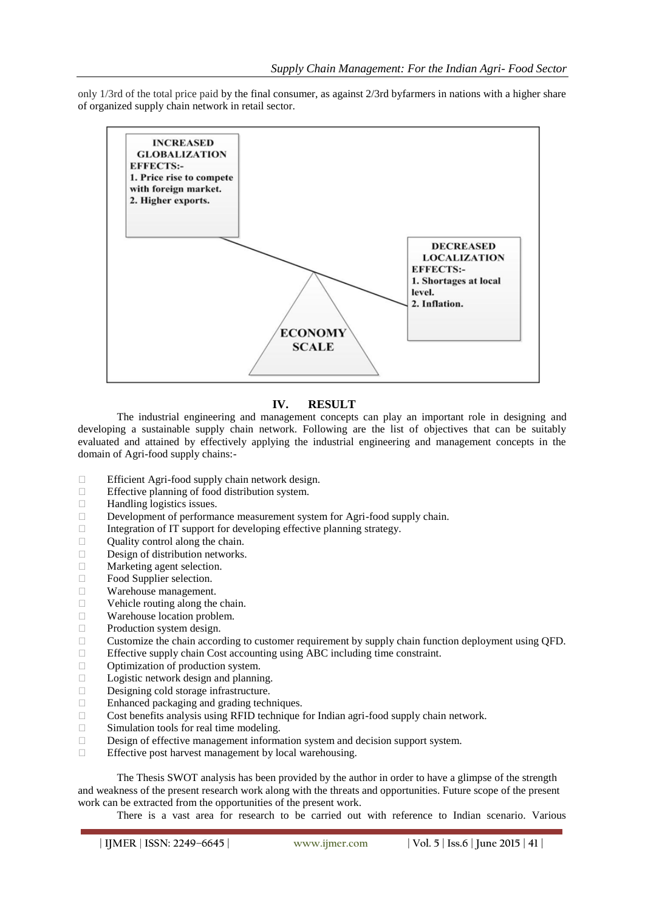only 1/3rd of the total price paid by the final consumer, as against 2/3rd byfarmers in nations with a higher share of organized supply chain network in retail sector.



## **IV. RESULT**

The industrial engineering and management concepts can play an important role in designing and developing a sustainable supply chain network. Following are the list of objectives that can be suitably evaluated and attained by effectively applying the industrial engineering and management concepts in the domain of Agri-food supply chains:-

- $\Box$  Efficient Agri-food supply chain network design.<br>Effective planning of food distribution system.
- Effective planning of food distribution system.
- $\Box$  Handling logistics issues.
- Development of performance measurement system for Agri-food supply chain.
- $\Box$  Integration of IT support for developing effective planning strategy.
- Quality control along the chain.
- $\Box$  Design of distribution networks.<br>  $\Box$  Marketing agent selection
- Marketing agent selection.
- □ Food Supplier selection.
- Warehouse management.
- □ Vehicle routing along the chain.
- Warehouse location problem.
- $\Box$  Production system design.
- $\Box$  Customize the chain according to customer requirement by supply chain function deployment using QFD.
- Effective supply chain Cost accounting using ABC including time constraint.
- $\Box$  Optimization of production system.
- D Logistic network design and planning.
- Designing cold storage infrastructure.
- □ Enhanced packaging and grading techniques.
- □ Cost benefits analysis using RFID technique for Indian agri-food supply chain network.
- □ Simulation tools for real time modeling.
- $\Box$  Design of effective management information system and decision support system.
- $\Box$  Effective post harvest management by local warehousing.

The Thesis SWOT analysis has been provided by the author in order to have a glimpse of the strength and weakness of the present research work along with the threats and opportunities. Future scope of the present work can be extracted from the opportunities of the present work.

There is a vast area for research to be carried out with reference to Indian scenario. Various